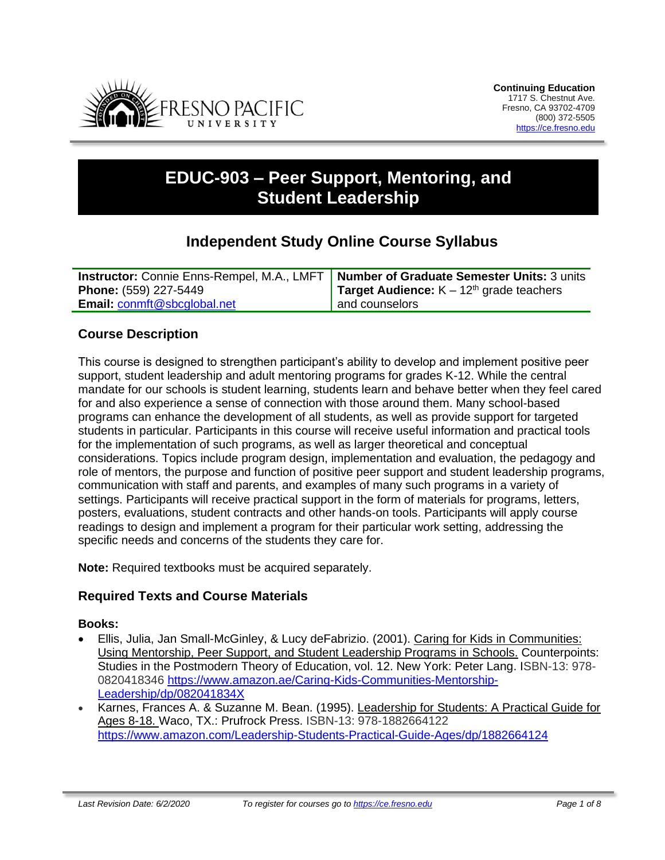

# **EDUC-903 – Peer Support, Mentoring, and Student Leadership**

## **Independent Study Online Course Syllabus**

|                                    | <b>Instructor:</b> Connie Enns-Rempel, M.A., LMFT   Number of Graduate Semester Units: 3 units |
|------------------------------------|------------------------------------------------------------------------------------------------|
| <b>Phone:</b> (559) 227-5449       | <b>Target Audience:</b> $K - 12th$ grade teachers                                              |
| <b>Email: conmft@sbcglobal.net</b> | and counselors                                                                                 |

#### **Course Description**

This course is designed to strengthen participant's ability to develop and implement positive peer support, student leadership and adult mentoring programs for grades K-12. While the central mandate for our schools is student learning, students learn and behave better when they feel cared for and also experience a sense of connection with those around them. Many school-based programs can enhance the development of all students, as well as provide support for targeted students in particular. Participants in this course will receive useful information and practical tools for the implementation of such programs, as well as larger theoretical and conceptual considerations. Topics include program design, implementation and evaluation, the pedagogy and role of mentors, the purpose and function of positive peer support and student leadership programs, communication with staff and parents, and examples of many such programs in a variety of settings. Participants will receive practical support in the form of materials for programs, letters, posters, evaluations, student contracts and other hands-on tools. Participants will apply course readings to design and implement a program for their particular work setting, addressing the specific needs and concerns of the students they care for.

**Note:** Required textbooks must be acquired separately.

#### **Required Texts and Course Materials**

#### **Books:**

- Ellis, Julia, Jan Small-McGinley, & Lucy deFabrizio. (2001). Caring for Kids in Communities: Using Mentorship, Peer Support, and Student Leadership Programs in Schools. Counterpoints: Studies in the Postmodern Theory of Education, vol. 12. New York: Peter Lang. ISBN-13: 978- 0820418346 [https://www.amazon.ae/Caring-Kids-Communities-Mentorship-](https://www.amazon.ae/Caring-Kids-Communities-Mentorship-Leadership/dp/082041834X)[Leadership/dp/082041834X](https://www.amazon.ae/Caring-Kids-Communities-Mentorship-Leadership/dp/082041834X)
- Karnes, Frances A. & Suzanne M. Bean. (1995). Leadership for Students: A Practical Guide for Ages 8-18. Waco, TX.: Prufrock Press. ISBN-13: 978-1882664122 <https://www.amazon.com/Leadership-Students-Practical-Guide-Ages/dp/1882664124>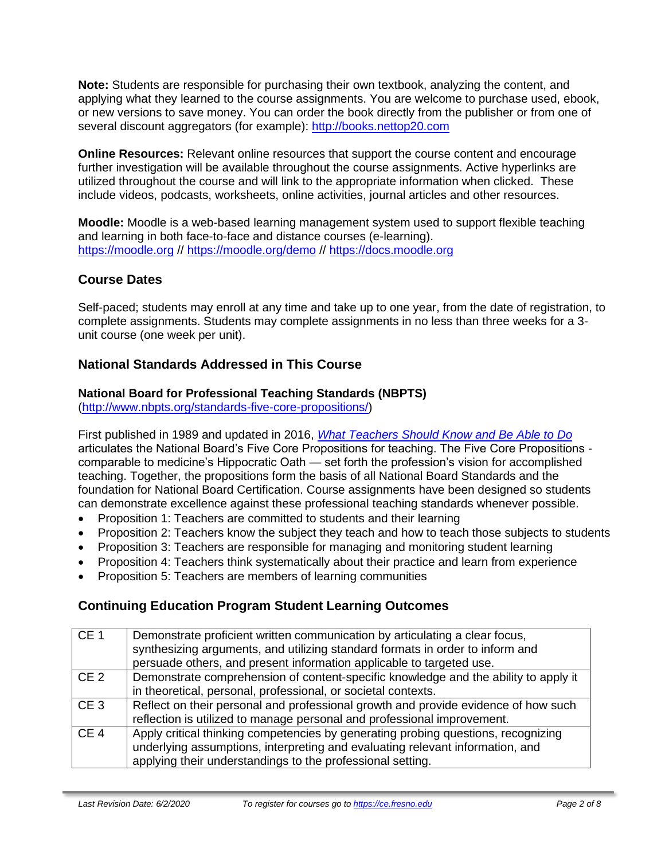**Note:** Students are responsible for purchasing their own textbook, analyzing the content, and applying what they learned to the course assignments. You are welcome to purchase used, ebook, or new versions to save money. You can order the book directly from the publisher or from one of several discount aggregators (for example): [http://books.nettop20.com](http://books.nettop20.com/)

**Online Resources:** Relevant online resources that support the course content and encourage further investigation will be available throughout the course assignments. Active hyperlinks are utilized throughout the course and will link to the appropriate information when clicked. These include videos, podcasts, worksheets, online activities, journal articles and other resources.

**Moodle:** Moodle is a web-based learning management system used to support flexible teaching and learning in both face-to-face and distance courses (e-learning). [https://moodle.org](https://moodle.org/) //<https://moodle.org/demo> // [https://docs.moodle.org](https://docs.moodle.org/)

## **Course Dates**

Self-paced; students may enroll at any time and take up to one year, from the date of registration, to complete assignments. Students may complete assignments in no less than three weeks for a 3 unit course (one week per unit).

#### **National Standards Addressed in This Course**

## **National Board for Professional Teaching Standards (NBPTS)**

[\(http://www.nbpts.org/standards-five-core-propositions/\)](http://www.nbpts.org/standards-five-core-propositions/)

First published in 1989 and updated in 2016, *[What Teachers Should Know and Be Able to Do](http://www.accomplishedteacher.org/)* articulates the National Board's Five Core Propositions for teaching. The Five Core Propositions comparable to medicine's Hippocratic Oath — set forth the profession's vision for accomplished teaching. Together, the propositions form the basis of all National Board Standards and the foundation for National Board Certification. Course assignments have been designed so students can demonstrate excellence against these professional teaching standards whenever possible.

- Proposition 1: Teachers are committed to students and their learning
- Proposition 2: Teachers know the subject they teach and how to teach those subjects to students
- Proposition 3: Teachers are responsible for managing and monitoring student learning
- Proposition 4: Teachers think systematically about their practice and learn from experience
- Proposition 5: Teachers are members of learning communities

## **Continuing Education Program Student Learning Outcomes**

| CE <sub>1</sub> | Demonstrate proficient written communication by articulating a clear focus,<br>synthesizing arguments, and utilizing standard formats in order to inform and<br>persuade others, and present information applicable to targeted use. |
|-----------------|--------------------------------------------------------------------------------------------------------------------------------------------------------------------------------------------------------------------------------------|
| CE <sub>2</sub> | Demonstrate comprehension of content-specific knowledge and the ability to apply it<br>in theoretical, personal, professional, or societal contexts.                                                                                 |
| CE <sub>3</sub> | Reflect on their personal and professional growth and provide evidence of how such<br>reflection is utilized to manage personal and professional improvement.                                                                        |
| CE <sub>4</sub> | Apply critical thinking competencies by generating probing questions, recognizing<br>underlying assumptions, interpreting and evaluating relevant information, and<br>applying their understandings to the professional setting.     |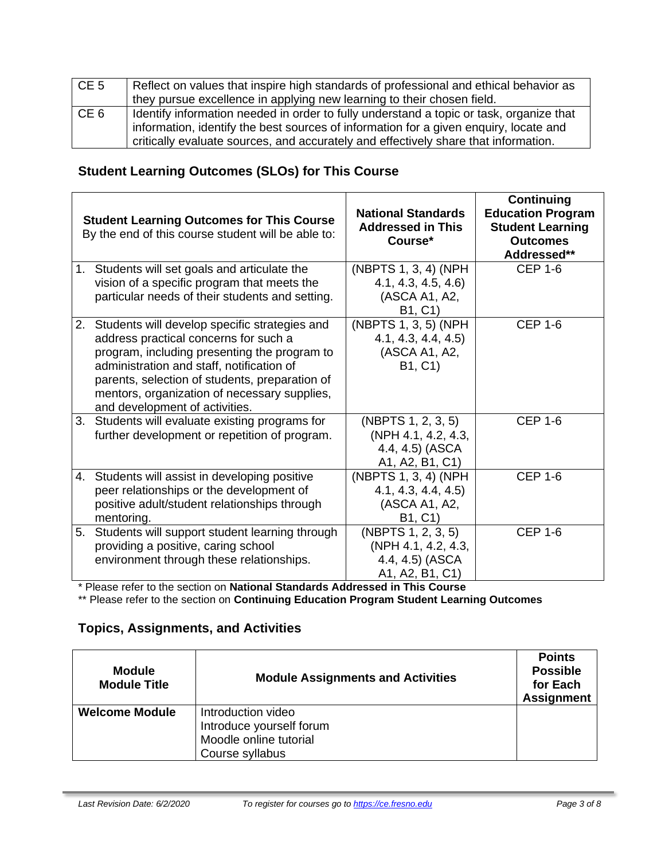| CE <sub>5</sub> | Reflect on values that inspire high standards of professional and ethical behavior as<br>they pursue excellence in applying new learning to their chosen field.                                                                                                         |
|-----------------|-------------------------------------------------------------------------------------------------------------------------------------------------------------------------------------------------------------------------------------------------------------------------|
| CE <sub>6</sub> | Identify information needed in order to fully understand a topic or task, organize that<br>information, identify the best sources of information for a given enquiry, locate and<br>critically evaluate sources, and accurately and effectively share that information. |

## **Student Learning Outcomes (SLOs) for This Course**

|    | <b>Student Learning Outcomes for This Course</b><br>By the end of this course student will be able to:                                                                                                                                                                                                                  | <b>National Standards</b><br><b>Addressed in This</b><br>Course*                           | <b>Continuing</b><br><b>Education Program</b><br><b>Student Learning</b><br><b>Outcomes</b><br>Addressed** |
|----|-------------------------------------------------------------------------------------------------------------------------------------------------------------------------------------------------------------------------------------------------------------------------------------------------------------------------|--------------------------------------------------------------------------------------------|------------------------------------------------------------------------------------------------------------|
| 1. | Students will set goals and articulate the                                                                                                                                                                                                                                                                              | (NBPTS 1, 3, 4) (NPH                                                                       | <b>CEP 1-6</b>                                                                                             |
|    | vision of a specific program that meets the<br>particular needs of their students and setting.                                                                                                                                                                                                                          | 4.1, 4.3, 4.5, 4.6<br>(ASCA A1, A2,<br>B1, C1)                                             |                                                                                                            |
| 2. | Students will develop specific strategies and<br>address practical concerns for such a<br>program, including presenting the program to<br>administration and staff, notification of<br>parents, selection of students, preparation of<br>mentors, organization of necessary supplies,<br>and development of activities. | $\overline{(\text{NBPTS 1}, 3, 5)}$ (NPH<br>4.1, 4.3, 4.4, 4.5<br>(ASCA A1, A2,<br>B1, C1) | <b>CEP 1-6</b>                                                                                             |
| 3. | Students will evaluate existing programs for<br>further development or repetition of program.                                                                                                                                                                                                                           | (NBPTS 1, 2, 3, 5)<br>(NPH 4.1, 4.2, 4.3,<br>4.4, 4.5) (ASCA<br>A1, A2, B1, C1)            | <b>CEP 1-6</b>                                                                                             |
| 4. | Students will assist in developing positive<br>peer relationships or the development of<br>positive adult/student relationships through<br>mentoring.                                                                                                                                                                   | (NBPTS 1, 3, 4) (NPH<br>4.1, 4.3, 4.4, 4.5<br>(ASCA A1, A2,<br>B1, C1)                     | <b>CEP 1-6</b>                                                                                             |
| 5. | Students will support student learning through<br>providing a positive, caring school<br>environment through these relationships.                                                                                                                                                                                       | (NBPTS 1, 2, 3, 5)<br>(NPH 4.1, 4.2, 4.3,<br>4.4, 4.5) (ASCA<br>A1, A2, B1, C1)            | <b>CEP 1-6</b>                                                                                             |

\* Please refer to the section on **National Standards Addressed in This Course**

\*\* Please refer to the section on **Continuing Education Program Student Learning Outcomes**

## **Topics, Assignments, and Activities**

| <b>Module</b><br><b>Module Title</b> | <b>Module Assignments and Activities</b>                                                    | <b>Points</b><br><b>Possible</b><br>for Each<br><b>Assignment</b> |
|--------------------------------------|---------------------------------------------------------------------------------------------|-------------------------------------------------------------------|
| <b>Welcome Module</b>                | Introduction video<br>Introduce yourself forum<br>Moodle online tutorial<br>Course syllabus |                                                                   |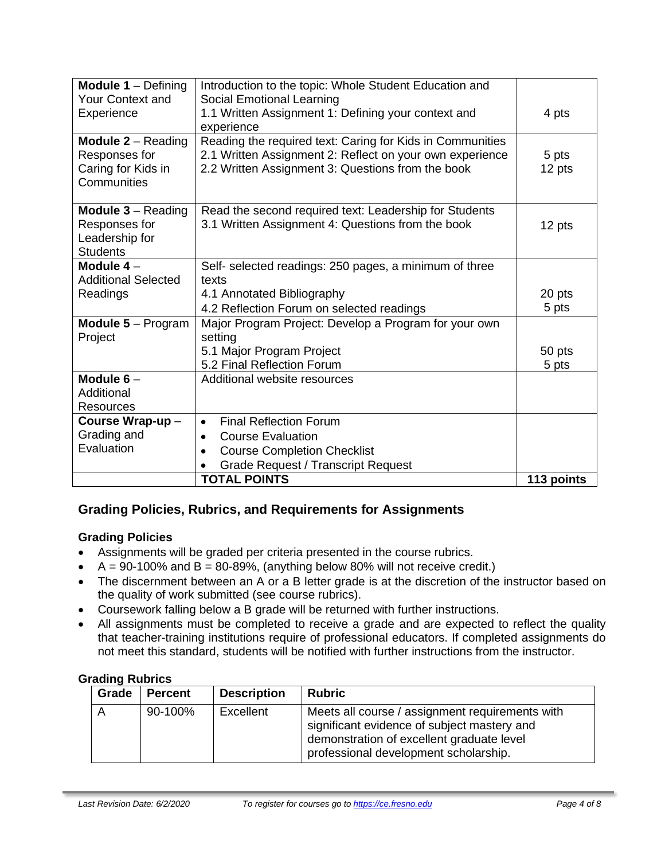| <b>Module 1 - Defining</b>             | Introduction to the topic: Whole Student Education and    |            |
|----------------------------------------|-----------------------------------------------------------|------------|
| <b>Your Context and</b>                | Social Emotional Learning                                 |            |
| Experience                             | 1.1 Written Assignment 1: Defining your context and       | 4 pts      |
|                                        | experience                                                |            |
| <b>Module <math>2 -</math></b> Reading | Reading the required text: Caring for Kids in Communities |            |
| Responses for                          | 2.1 Written Assignment 2: Reflect on your own experience  | 5 pts      |
| Caring for Kids in                     | 2.2 Written Assignment 3: Questions from the book         | 12 pts     |
| Communities                            |                                                           |            |
| <b>Module <math>3 -</math></b> Reading | Read the second required text: Leadership for Students    |            |
| Responses for                          | 3.1 Written Assignment 4: Questions from the book         | 12 pts     |
| Leadership for                         |                                                           |            |
| <b>Students</b>                        |                                                           |            |
| Module $4-$                            | Self- selected readings: 250 pages, a minimum of three    |            |
| <b>Additional Selected</b>             | texts                                                     |            |
| Readings                               | 4.1 Annotated Bibliography                                | 20 pts     |
|                                        | 4.2 Reflection Forum on selected readings                 | 5 pts      |
| <b>Module 5</b> – Program              | Major Program Project: Develop a Program for your own     |            |
| Project                                | setting                                                   |            |
|                                        | 5.1 Major Program Project                                 | 50 pts     |
|                                        | 5.2 Final Reflection Forum                                | 5 pts      |
| Module $6-$                            | Additional website resources                              |            |
| Additional                             |                                                           |            |
| <b>Resources</b>                       |                                                           |            |
| Course Wrap-up-                        | <b>Final Reflection Forum</b><br>$\bullet$                |            |
| Grading and                            | <b>Course Evaluation</b><br>$\bullet$                     |            |
| Evaluation                             | <b>Course Completion Checklist</b><br>$\bullet$           |            |
|                                        | <b>Grade Request / Transcript Request</b>                 |            |
|                                        | <b>TOTAL POINTS</b>                                       | 113 points |

## **Grading Policies, Rubrics, and Requirements for Assignments**

#### **Grading Policies**

- Assignments will be graded per criteria presented in the course rubrics.
- $A = 90-100\%$  and  $B = 80-89\%$ , (anything below 80% will not receive credit.)
- The discernment between an A or a B letter grade is at the discretion of the instructor based on the quality of work submitted (see course rubrics).
- Coursework falling below a B grade will be returned with further instructions.
- All assignments must be completed to receive a grade and are expected to reflect the quality that teacher-training institutions require of professional educators. If completed assignments do not meet this standard, students will be notified with further instructions from the instructor.

#### **Grading Rubrics**

| Grade | <b>Percent</b> | <b>Description</b> | <b>Rubric</b>                                                                                                                                                                        |
|-------|----------------|--------------------|--------------------------------------------------------------------------------------------------------------------------------------------------------------------------------------|
|       | 90-100%        | Excellent          | Meets all course / assignment requirements with<br>significant evidence of subject mastery and<br>demonstration of excellent graduate level<br>professional development scholarship. |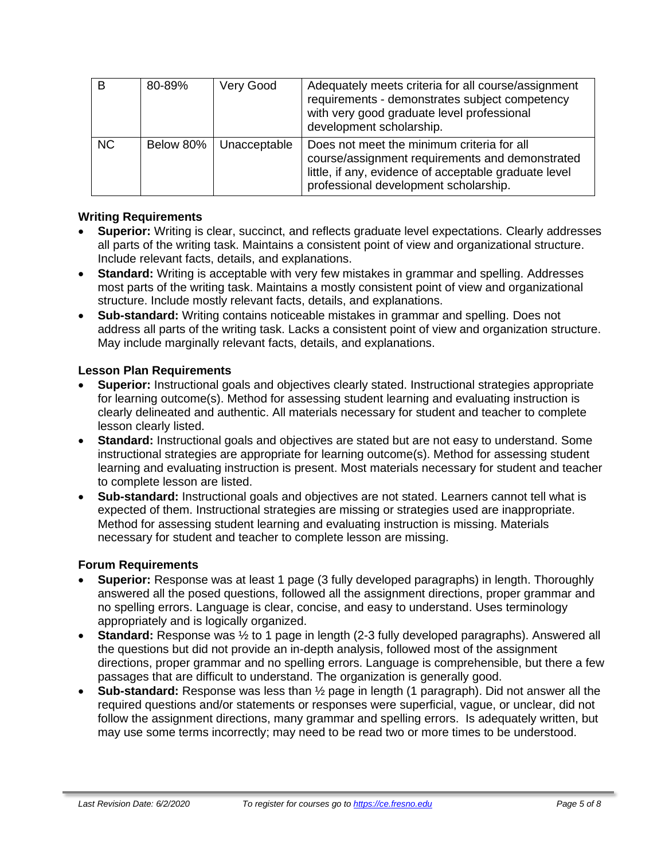| B         | 80-89%    | Very Good    | Adequately meets criteria for all course/assignment<br>requirements - demonstrates subject competency<br>with very good graduate level professional<br>development scholarship.                 |
|-----------|-----------|--------------|-------------------------------------------------------------------------------------------------------------------------------------------------------------------------------------------------|
| <b>NC</b> | Below 80% | Unacceptable | Does not meet the minimum criteria for all<br>course/assignment requirements and demonstrated<br>little, if any, evidence of acceptable graduate level<br>professional development scholarship. |

#### **Writing Requirements**

- **Superior:** Writing is clear, succinct, and reflects graduate level expectations. Clearly addresses all parts of the writing task. Maintains a consistent point of view and organizational structure. Include relevant facts, details, and explanations.
- **Standard:** Writing is acceptable with very few mistakes in grammar and spelling. Addresses most parts of the writing task. Maintains a mostly consistent point of view and organizational structure. Include mostly relevant facts, details, and explanations.
- **Sub-standard:** Writing contains noticeable mistakes in grammar and spelling. Does not address all parts of the writing task. Lacks a consistent point of view and organization structure. May include marginally relevant facts, details, and explanations.

#### **Lesson Plan Requirements**

- **Superior:** Instructional goals and objectives clearly stated. Instructional strategies appropriate for learning outcome(s). Method for assessing student learning and evaluating instruction is clearly delineated and authentic. All materials necessary for student and teacher to complete lesson clearly listed.
- **Standard:** Instructional goals and objectives are stated but are not easy to understand. Some instructional strategies are appropriate for learning outcome(s). Method for assessing student learning and evaluating instruction is present. Most materials necessary for student and teacher to complete lesson are listed.
- **Sub-standard:** Instructional goals and objectives are not stated. Learners cannot tell what is expected of them. Instructional strategies are missing or strategies used are inappropriate. Method for assessing student learning and evaluating instruction is missing. Materials necessary for student and teacher to complete lesson are missing.

#### **Forum Requirements**

- **Superior:** Response was at least 1 page (3 fully developed paragraphs) in length. Thoroughly answered all the posed questions, followed all the assignment directions, proper grammar and no spelling errors. Language is clear, concise, and easy to understand. Uses terminology appropriately and is logically organized.
- **Standard:** Response was ½ to 1 page in length (2-3 fully developed paragraphs). Answered all the questions but did not provide an in-depth analysis, followed most of the assignment directions, proper grammar and no spelling errors. Language is comprehensible, but there a few passages that are difficult to understand. The organization is generally good.
- **Sub-standard:** Response was less than ½ page in length (1 paragraph). Did not answer all the required questions and/or statements or responses were superficial, vague, or unclear, did not follow the assignment directions, many grammar and spelling errors. Is adequately written, but may use some terms incorrectly; may need to be read two or more times to be understood.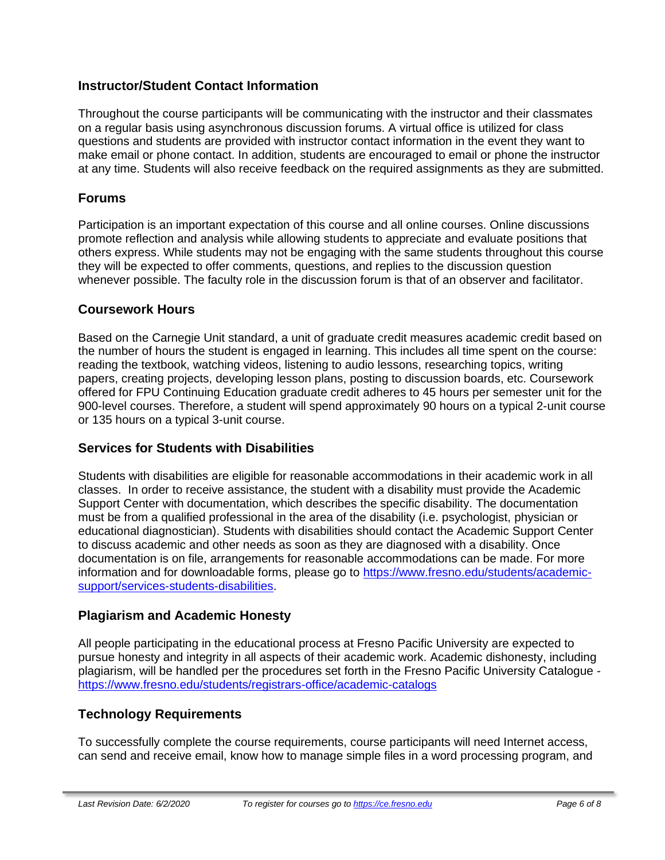#### **Instructor/Student Contact Information**

Throughout the course participants will be communicating with the instructor and their classmates on a regular basis using asynchronous discussion forums. A virtual office is utilized for class questions and students are provided with instructor contact information in the event they want to make email or phone contact. In addition, students are encouraged to email or phone the instructor at any time. Students will also receive feedback on the required assignments as they are submitted.

#### **Forums**

Participation is an important expectation of this course and all online courses. Online discussions promote reflection and analysis while allowing students to appreciate and evaluate positions that others express. While students may not be engaging with the same students throughout this course they will be expected to offer comments, questions, and replies to the discussion question whenever possible. The faculty role in the discussion forum is that of an observer and facilitator.

#### **Coursework Hours**

Based on the Carnegie Unit standard, a unit of graduate credit measures academic credit based on the number of hours the student is engaged in learning. This includes all time spent on the course: reading the textbook, watching videos, listening to audio lessons, researching topics, writing papers, creating projects, developing lesson plans, posting to discussion boards, etc. Coursework offered for FPU Continuing Education graduate credit adheres to 45 hours per semester unit for the 900-level courses. Therefore, a student will spend approximately 90 hours on a typical 2-unit course or 135 hours on a typical 3-unit course.

#### **Services for Students with Disabilities**

Students with disabilities are eligible for reasonable accommodations in their academic work in all classes. In order to receive assistance, the student with a disability must provide the Academic Support Center with documentation, which describes the specific disability. The documentation must be from a qualified professional in the area of the disability (i.e. psychologist, physician or educational diagnostician). Students with disabilities should contact the Academic Support Center to discuss academic and other needs as soon as they are diagnosed with a disability. Once documentation is on file, arrangements for reasonable accommodations can be made. For more information and for downloadable forms, please go to [https://www.fresno.edu/students/academic](https://www.fresno.edu/students/academic-support/services-students-disabilities)[support/services-students-disabilities.](https://www.fresno.edu/students/academic-support/services-students-disabilities)

#### **Plagiarism and Academic Honesty**

All people participating in the educational process at Fresno Pacific University are expected to pursue honesty and integrity in all aspects of their academic work. Academic dishonesty, including plagiarism, will be handled per the procedures set forth in the Fresno Pacific University Catalogue <https://www.fresno.edu/students/registrars-office/academic-catalogs>

#### **Technology Requirements**

To successfully complete the course requirements, course participants will need Internet access, can send and receive email, know how to manage simple files in a word processing program, and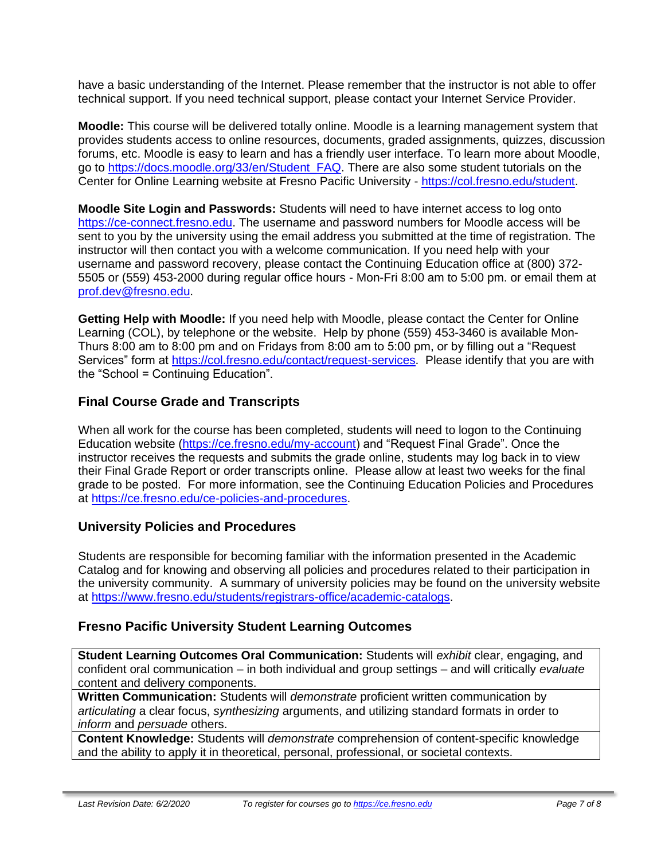have a basic understanding of the Internet. Please remember that the instructor is not able to offer technical support. If you need technical support, please contact your Internet Service Provider.

**Moodle:** This course will be delivered totally online. Moodle is a learning management system that provides students access to online resources, documents, graded assignments, quizzes, discussion forums, etc. Moodle is easy to learn and has a friendly user interface. To learn more about Moodle, go to [https://docs.moodle.org/33/en/Student\\_FAQ.](https://docs.moodle.org/33/en/Student_FAQ) There are also some student tutorials on the Center for Online Learning website at Fresno Pacific University - [https://col.fresno.edu/student.](https://col.fresno.edu/student)

**Moodle Site Login and Passwords:** Students will need to have internet access to log onto [https://ce-connect.fresno.edu.](https://ce-connect.fresno.edu/) The username and password numbers for Moodle access will be sent to you by the university using the email address you submitted at the time of registration. The instructor will then contact you with a welcome communication. If you need help with your username and password recovery, please contact the Continuing Education office at (800) 372- 5505 or (559) 453-2000 during regular office hours - Mon-Fri 8:00 am to 5:00 pm. or email them at [prof.dev@fresno.edu.](mailto:prof.dev@fresno.edu)

**Getting Help with Moodle:** If you need help with Moodle, please contact the Center for Online Learning (COL), by telephone or the website. Help by phone (559) 453-3460 is available Mon-Thurs 8:00 am to 8:00 pm and on Fridays from 8:00 am to 5:00 pm, or by filling out a "Request Services" form at [https://col.fresno.edu/contact/request-services.](https://col.fresno.edu/contact/request-services) Please identify that you are with the "School = Continuing Education".

### **Final Course Grade and Transcripts**

When all work for the course has been completed, students will need to logon to the Continuing Education website [\(https://ce.fresno.edu/my-account\)](https://ce.fresno.edu/my-account) and "Request Final Grade". Once the instructor receives the requests and submits the grade online, students may log back in to view their Final Grade Report or order transcripts online. Please allow at least two weeks for the final grade to be posted. For more information, see the Continuing Education Policies and Procedures at [https://ce.fresno.edu/ce-policies-and-procedures.](https://ce.fresno.edu/ce-policies-and-procedures)

#### **University Policies and Procedures**

Students are responsible for becoming familiar with the information presented in the Academic Catalog and for knowing and observing all policies and procedures related to their participation in the university community. A summary of university policies may be found on the university website at [https://www.fresno.edu/students/registrars-office/academic-catalogs.](https://www.fresno.edu/students/registrars-office/academic-catalogs)

#### **Fresno Pacific University Student Learning Outcomes**

**Student Learning Outcomes Oral Communication:** Students will *exhibit* clear, engaging, and confident oral communication – in both individual and group settings – and will critically *evaluate*  content and delivery components.

**Written Communication:** Students will *demonstrate* proficient written communication by *articulating* a clear focus, *synthesizing* arguments, and utilizing standard formats in order to *inform* and *persuade* others.

**Content Knowledge:** Students will *demonstrate* comprehension of content-specific knowledge and the ability to apply it in theoretical, personal, professional, or societal contexts.